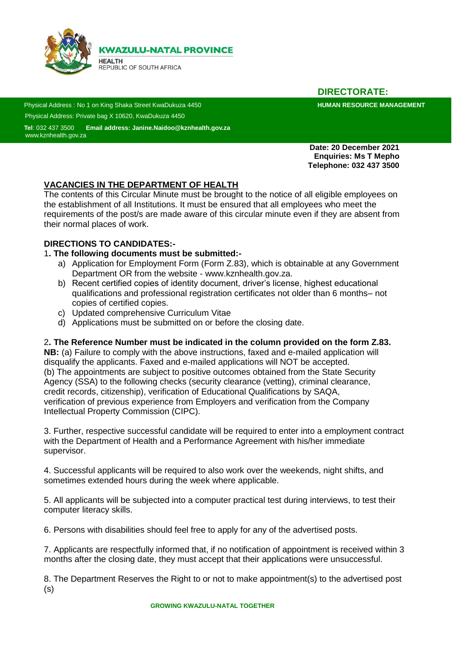

**DIRECTORATE:**

Physical Address : No 1 on King Shaka Street KwaDukuza 4450 **https://www.mateuralia.com/https://www.mateuralia.com/https://www.mateuralia.com/https://www.mateuralia.com/https://www.mateuralia.com/https://www.mateuralia.com** Physical Address: Private bag X 10620, KwaDukuza 4450

 **Tel**: 032 437 3500 **Email address: Janine.Naidoo@kznhealth.gov.za Sad** [www.kznhealth.gov.za](http://www.kznhealth.gov.za/)

> **Date: 20 December 2021 Enquiries: Ms T Mepho Telephone: 032 437 3500**

# **VACANCIES IN THE DEPARTMENT OF HEALTH**

The contents of this Circular Minute must be brought to the notice of all eligible employees on the establishment of all Institutions. It must be ensured that all employees who meet the requirements of the post/s are made aware of this circular minute even if they are absent from their normal places of work.

#### **DIRECTIONS TO CANDIDATES:-**

#### 1**. The following documents must be submitted:-**

- a) Application for Employment Form (Form Z.83), which is obtainable at any Government Department OR from the website - www.kznhealth.gov.za.
- b) Recent certified copies of identity document, driver's license, highest educational qualifications and professional registration certificates not older than 6 months– not copies of certified copies.
- c) Updated comprehensive Curriculum Vitae
- d) Applications must be submitted on or before the closing date.

#### 2**. The Reference Number must be indicated in the column provided on the form Z.83.**

**NB:** (a) Failure to comply with the above instructions, faxed and e-mailed application will disqualify the applicants. Faxed and e-mailed applications will NOT be accepted. (b) The appointments are subject to positive outcomes obtained from the State Security Agency (SSA) to the following checks (security clearance (vetting), criminal clearance, credit records, citizenship), verification of Educational Qualifications by SAQA, verification of previous experience from Employers and verification from the Company Intellectual Property Commission (CIPC).

3. Further, respective successful candidate will be required to enter into a employment contract with the Department of Health and a Performance Agreement with his/her immediate supervisor.

4. Successful applicants will be required to also work over the weekends, night shifts, and sometimes extended hours during the week where applicable.

5. All applicants will be subjected into a computer practical test during interviews, to test their computer literacy skills.

6. Persons with disabilities should feel free to apply for any of the advertised posts.

7. Applicants are respectfully informed that, if no notification of appointment is received within 3 months after the closing date, they must accept that their applications were unsuccessful.

8. The Department Reserves the Right to or not to make appointment(s) to the advertised post (s)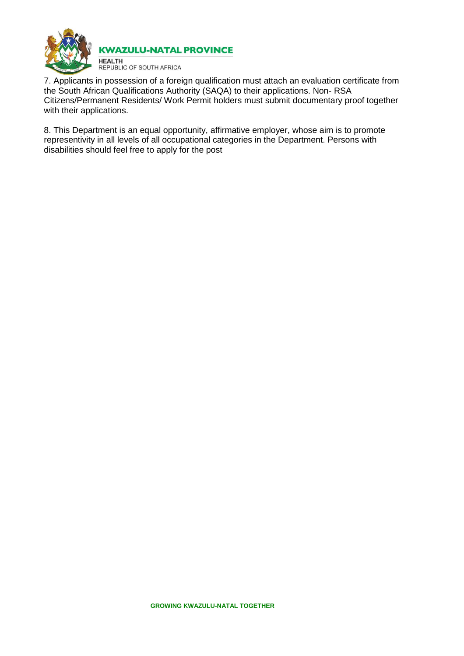

7. Applicants in possession of a foreign qualification must attach an evaluation certificate from the South African Qualifications Authority (SAQA) to their applications. Non- RSA Citizens/Permanent Residents/ Work Permit holders must submit documentary proof together with their applications.

8. This Department is an equal opportunity, affirmative employer, whose aim is to promote representivity in all levels of all occupational categories in the Department. Persons with disabilities should feel free to apply for the post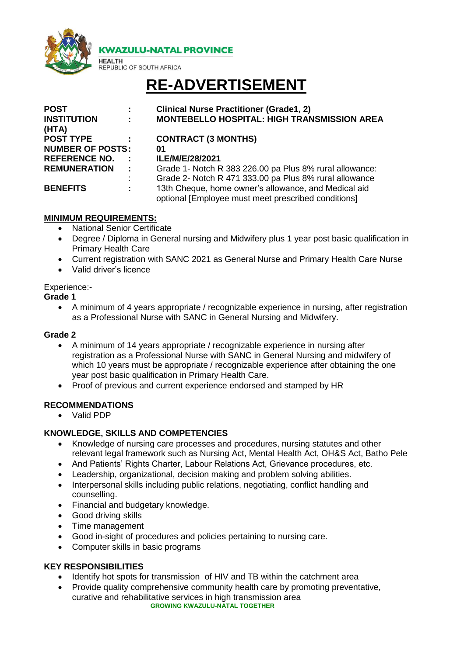

**KWAZULU-NATAL PROVINCE** 

# **RE-ADVERTISEMENT**

| <b>POST</b>                 |                             | <b>Clinical Nurse Practitioner (Grade1, 2)</b>                                                              |
|-----------------------------|-----------------------------|-------------------------------------------------------------------------------------------------------------|
| <b>INSTITUTION</b><br>(HTA) |                             | <b>MONTEBELLO HOSPITAL: HIGH TRANSMISSION AREA</b>                                                          |
| <b>POST TYPE</b>            |                             | <b>CONTRACT (3 MONTHS)</b>                                                                                  |
| <b>NUMBER OF POSTS:</b>     |                             | 01                                                                                                          |
| <b>REFERENCE NO.</b>        | $\mathbf{L}$                | ILE/M/E/28/2021                                                                                             |
| <b>REMUNERATION</b>         | $\mathcal{I}^{\mathcal{I}}$ | Grade 1- Notch R 383 226.00 pa Plus 8% rural allowance:                                                     |
|                             | ÷                           | Grade 2- Notch R 471 333.00 pa Plus 8% rural allowance                                                      |
| <b>BENEFITS</b>             | ÷                           | 13th Cheque, home owner's allowance, and Medical aid<br>optional [Employee must meet prescribed conditions] |

# **MINIMUM REQUIREMENTS:**

• National Senior Certificate

**HEALTH** 

**REPUBLIC OF SOUTH AFRICA** 

- Degree / Diploma in General nursing and Midwifery plus 1 year post basic qualification in Primary Health Care
- Current registration with SANC 2021 as General Nurse and Primary Health Care Nurse
- Valid driver's licence

## Experience:-

**Grade 1**

 A minimum of 4 years appropriate / recognizable experience in nursing, after registration as a Professional Nurse with SANC in General Nursing and Midwifery.

#### **Grade 2**

- A minimum of 14 years appropriate / recognizable experience in nursing after registration as a Professional Nurse with SANC in General Nursing and midwifery of which 10 years must be appropriate / recognizable experience after obtaining the one year post basic qualification in Primary Health Care.
- Proof of previous and current experience endorsed and stamped by HR

# **RECOMMENDATIONS**

Valid PDP

# **KNOWLEDGE, SKILLS AND COMPETENCIES**

- Knowledge of nursing care processes and procedures, nursing statutes and other relevant legal framework such as Nursing Act, Mental Health Act, OH&S Act, Batho Pele
- And Patients' Rights Charter, Labour Relations Act, Grievance procedures, etc.
- Leadership, organizational, decision making and problem solving abilities.
- Interpersonal skills including public relations, negotiating, conflict handling and counselling.
- Financial and budgetary knowledge.
- Good driving skills
- Time management
- Good in-sight of procedures and policies pertaining to nursing care.
- Computer skills in basic programs

# **KEY RESPONSIBILITIES**

- Identify hot spots for transmission of HIV and TB within the catchment area
- **GROWING KWAZULU-NATAL TOGETHER** Provide quality comprehensive community health care by promoting preventative, curative and rehabilitative services in high transmission area